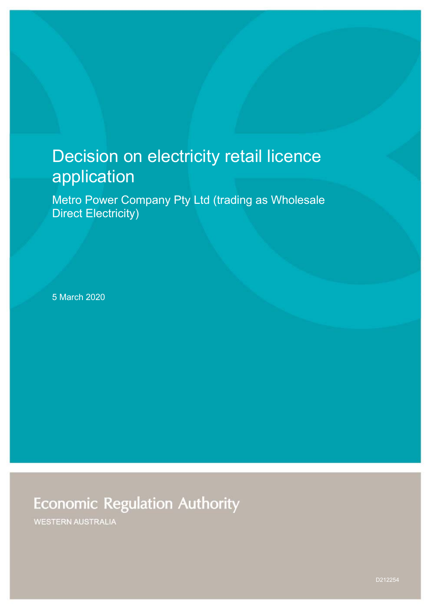# Decision on electricity retail licence application

Metro Power Company Pty Ltd (trading as Wholesale Direct Electricity)

5 March 2020

## **Economic Regulation Authority**

**WESTERN AUSTRALIA**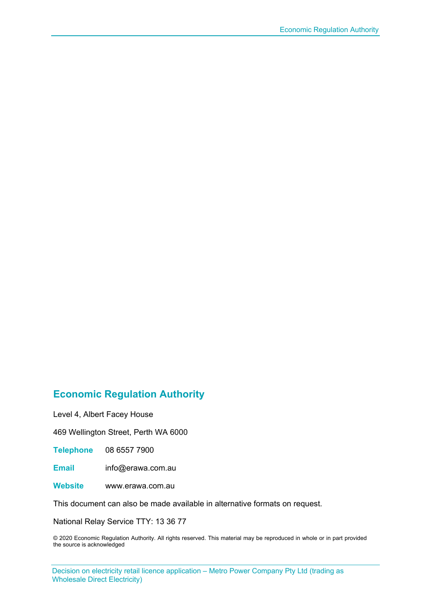### **Economic Regulation Authority**

Level 4, Albert Facey House

469 Wellington Street, Perth WA 6000

**Telephone** 08 6557 7900

**Email** info@erawa.com.au

**Website** www.erawa.com.au

This document can also be made available in alternative formats on request.

National Relay Service TTY: 13 36 77

© 2020 Economic Regulation Authority. All rights reserved. This material may be reproduced in whole or in part provided the source is acknowledged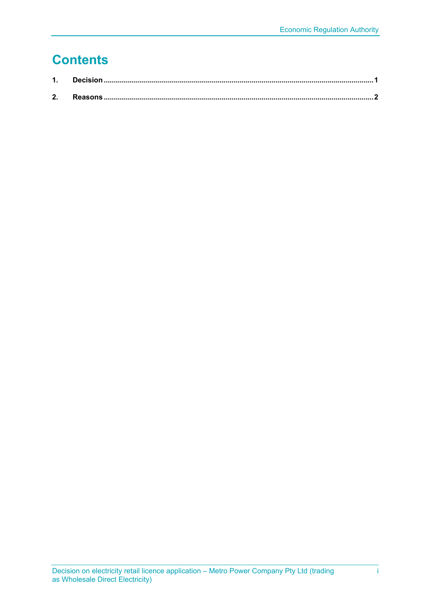## **Contents**

| 2. |  |
|----|--|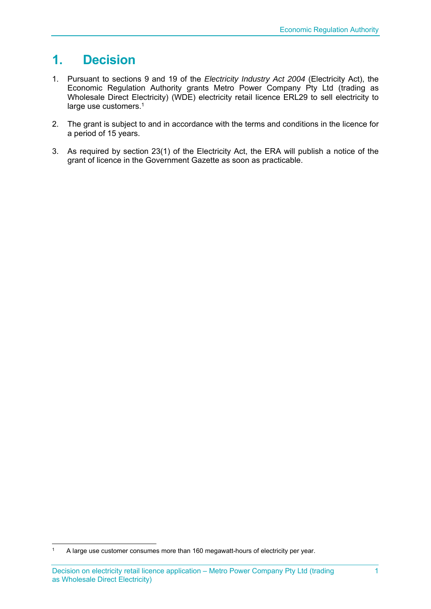## **1. Decision**

- 1. Pursuant to sections 9 and 19 of the *Electricity Industry Act 2004* (Electricity Act), the Economic Regulation Authority grants Metro Power Company Pty Ltd (trading as Wholesale Direct Electricity) (WDE) electricity retail licence ERL29 to sell electricity to large use customers.<sup>1</sup>
- 2. The grant is subject to and in accordance with the terms and conditions in the licence for a period of 15 years.
- 3. As required by section 23(1) of the Electricity Act, the ERA will publish a notice of the grant of licence in the Government Gazette as soon as practicable.

<sup>&</sup>lt;sup>1</sup> A large use customer consumes more than 160 megawatt-hours of electricity per year.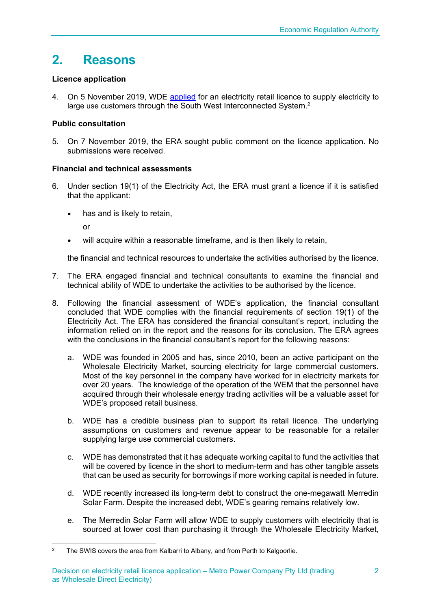### **2. Reasons**

#### **Licence application**

4. On 5 November 2019, WDE [applied](https://www.erawa.com.au/admin/svr_admin/Common/PortalMaster/Content/Interface/ContentFileAccess.ashx?contentID=20791&recordID=184289&filename=Licence-Application---Public-Consultation-Copy---Metro-Power-Company-Pty-Ltd-ta-WDE.PDF) for an electricity retail licence to supply electricity to large use customers through the South West Interconnected System.<sup>2</sup>

#### **Public consultation**

5. On 7 November 2019, the ERA sought public comment on the licence application. No submissions were received.

#### **Financial and technical assessments**

- 6. Under section 19(1) of the Electricity Act, the ERA must grant a licence if it is satisfied that the applicant:
	- has and is likely to retain,

or

will acquire within a reasonable timeframe, and is then likely to retain,

the financial and technical resources to undertake the activities authorised by the licence.

- 7. The ERA engaged financial and technical consultants to examine the financial and technical ability of WDE to undertake the activities to be authorised by the licence.
- 8. Following the financial assessment of WDE's application, the financial consultant concluded that WDE complies with the financial requirements of section 19(1) of the Electricity Act. The ERA has considered the financial consultant's report, including the information relied on in the report and the reasons for its conclusion. The ERA agrees with the conclusions in the financial consultant's report for the following reasons:
	- a. WDE was founded in 2005 and has, since 2010, been an active participant on the Wholesale Electricity Market, sourcing electricity for large commercial customers. Most of the key personnel in the company have worked for in electricity markets for over 20 years. The knowledge of the operation of the WEM that the personnel have acquired through their wholesale energy trading activities will be a valuable asset for WDE's proposed retail business.
	- b. WDE has a credible business plan to support its retail licence. The underlying assumptions on customers and revenue appear to be reasonable for a retailer supplying large use commercial customers.
	- c. WDE has demonstrated that it has adequate working capital to fund the activities that will be covered by licence in the short to medium-term and has other tangible assets that can be used as security for borrowings if more working capital is needed in future.
	- d. WDE recently increased its long-term debt to construct the one-megawatt Merredin Solar Farm. Despite the increased debt, WDE's gearing remains relatively low.
	- e. The Merredin Solar Farm will allow WDE to supply customers with electricity that is sourced at lower cost than purchasing it through the Wholesale Electricity Market,

<sup>&</sup>lt;sup>2</sup> The SWIS covers the area from Kalbarri to Albany, and from Perth to Kalgoorlie.

Decision on electricity retail licence application – Metro Power Company Pty Ltd (trading as Wholesale Direct Electricity)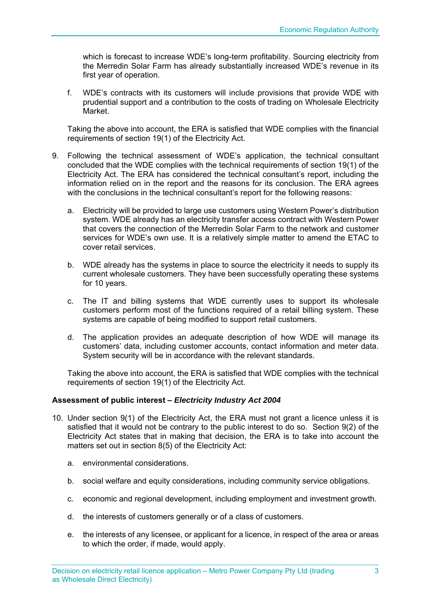which is forecast to increase WDE's long-term profitability. Sourcing electricity from the Merredin Solar Farm has already substantially increased WDE's revenue in its first year of operation.

f. WDE's contracts with its customers will include provisions that provide WDE with prudential support and a contribution to the costs of trading on Wholesale Electricity Market.

Taking the above into account, the ERA is satisfied that WDE complies with the financial requirements of section 19(1) of the Electricity Act.

- 9. Following the technical assessment of WDE's application, the technical consultant concluded that the WDE complies with the technical requirements of section 19(1) of the Electricity Act. The ERA has considered the technical consultant's report, including the information relied on in the report and the reasons for its conclusion. The ERA agrees with the conclusions in the technical consultant's report for the following reasons:
	- a. Electricity will be provided to large use customers using Western Power's distribution system. WDE already has an electricity transfer access contract with Western Power that covers the connection of the Merredin Solar Farm to the network and customer services for WDE's own use. It is a relatively simple matter to amend the ETAC to cover retail services.
	- b. WDE already has the systems in place to source the electricity it needs to supply its current wholesale customers. They have been successfully operating these systems for 10 years.
	- c. The IT and billing systems that WDE currently uses to support its wholesale customers perform most of the functions required of a retail billing system. These systems are capable of being modified to support retail customers.
	- d. The application provides an adequate description of how WDE will manage its customers' data, including customer accounts, contact information and meter data. System security will be in accordance with the relevant standards.

Taking the above into account, the ERA is satisfied that WDE complies with the technical requirements of section 19(1) of the Electricity Act.

#### **Assessment of public interest –** *Electricity Industry Act 2004*

- 10. Under section 9(1) of the Electricity Act, the ERA must not grant a licence unless it is satisfied that it would not be contrary to the public interest to do so. Section 9(2) of the Electricity Act states that in making that decision, the ERA is to take into account the matters set out in section 8(5) of the Electricity Act:
	- a. environmental considerations.
	- b. social welfare and equity considerations, including community service obligations.
	- c. economic and regional development, including employment and investment growth.
	- d. the interests of customers generally or of a class of customers.
	- e. the interests of any licensee, or applicant for a licence, in respect of the area or areas to which the order, if made, would apply.